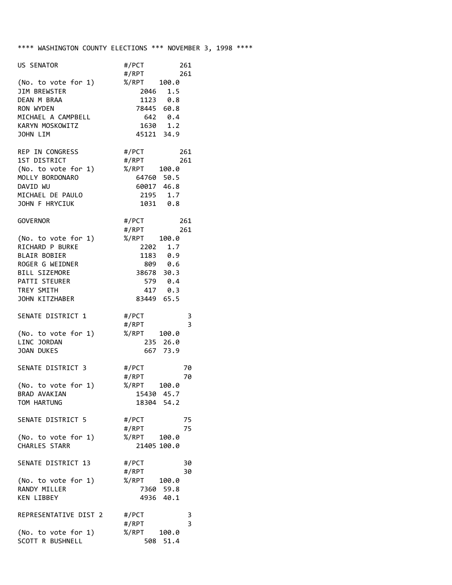## \*\*\*\* WASHINGTON COUNTY ELECTIONS \*\*\* NOVEMBER 3, 1998 \*\*\*\*

| US SENATOR                                                                                                                                                     | #/PCT<br>261<br>#/RPT<br>261                                                                                                     |
|----------------------------------------------------------------------------------------------------------------------------------------------------------------|----------------------------------------------------------------------------------------------------------------------------------|
| (No. to vote for 1) %/RPT 100.0<br>JIM BREWSTER<br>DEAN M BRAA                                                                                                 | 2046 1.5<br>1123 0.8                                                                                                             |
| RON WYDEN<br>MICHAEL A CAMPBELL                                                                                                                                | 78445 60.8<br>642 0.4                                                                                                            |
| KARYN MOSKOWITZ<br>JOHN LIM                                                                                                                                    | 1630 1.2<br>45121 34.9                                                                                                           |
| REP IN CONGRESS<br>1ST DISTRICT<br>(No. to vote for 1)<br>MOLLY BORDONARO<br>DAVID WU<br>MICHAEL DE PAULO                                                      | #/PCT<br>#/RPT<br>261<br>#/RPT<br>261<br>%/RPT 100.0<br>64760 50.5<br>60017 46.8<br>2195 1.7                                     |
| JOHN F HRYCIUK                                                                                                                                                 | 1031 0.8                                                                                                                         |
| GOVERNOR<br>(No. to vote for 1)<br>RICHARD P BURKE<br><b>BLAIR BOBIER</b><br>ROGER G WEIDNER<br>BILL SIZEMORE<br>PATTI STEURER<br>TREY SMITH<br>JOHN KITZHABER | #/PCT<br>#/RPT<br>261<br>261<br>%/RPT 100.0<br>2202 1.7<br>1183 0.9<br>809 0.6<br>38678 30.3<br>579 0.4<br>417 0.3<br>83449 65.5 |
| SENATE DISTRICT 1<br>(No. to vote for 1)                                                                                                                       | #/PCT<br>3<br>3<br>#/RPT<br>%/RPT<br>100.0                                                                                       |
| LINC JORDAN<br><b>JOAN DUKES</b>                                                                                                                               | 235 26.0<br>667 73.9                                                                                                             |
| SENATE DISTRICT 3<br>(No. to vote for 1)<br>BRAD AVAKIAN<br>TOM HARTUNG                                                                                        | #/PCT<br>70<br>#/RPT<br>70<br>%/RPT<br>100.0<br>15430 45.7<br>18304 54.2                                                         |
| SENATE DISTRICT 5                                                                                                                                              | 75<br>#/PCT<br>75<br>#/RPT                                                                                                       |
| (No. to vote for 1)<br>CHARLES STARR                                                                                                                           | %/RPT<br>100.0<br>21405 100.0                                                                                                    |
| SENATE DISTRICT 13                                                                                                                                             | #/PCT<br>30<br>#/RPT<br>30                                                                                                       |
| (No. to vote for 1)<br>RANDY MILLER<br><b>KEN LIBBEY</b>                                                                                                       | %/RPT<br>100.0<br>7360 59.8<br>4936 40.1                                                                                         |
| REPRESENTATIVE DIST 2                                                                                                                                          | #/PCT<br>3<br>$\overline{\mathbf{3}}$<br>#/RPT                                                                                   |
| (No. to vote for 1)<br>SCOTT R BUSHNELL                                                                                                                        | %/RPT<br>100.0<br>508 51.4                                                                                                       |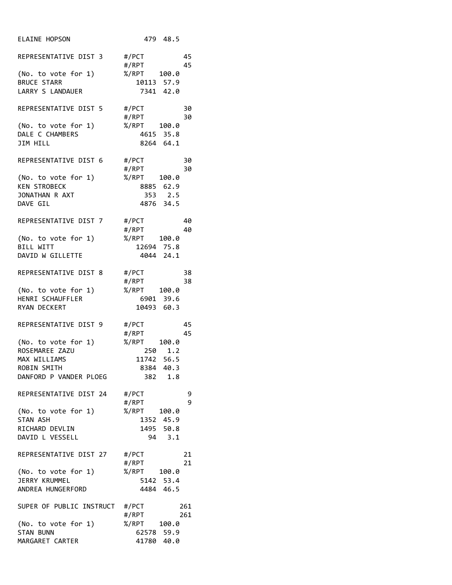| <b>ELAINE HOPSON</b>                      | 479 48.5                    |
|-------------------------------------------|-----------------------------|
| REPRESENTATIVE DIST 3 #/PCT               | 45                          |
|                                           | #/RPT<br>45                 |
| (No. to vote for 1)<br><b>BRUCE STARR</b> | %/RPT 100.0<br>10113 57.9   |
| LARRY S LANDAUER                          | 7341 42.0                   |
| REPRESENTATIVE DIST 5                     | 30<br>#/PCT                 |
|                                           | #/RPT<br>30                 |
| (No. to vote for 1)<br>DALE C CHAMBERS    | %/RPT 100.0<br>4615 35.8    |
| JIM HILL                                  | 8264 64.1                   |
| REPRESENTATIVE DIST 6                     | #/PCT<br>30                 |
| (No. to vote for 1)                       | #/RPT<br>30<br>%/RPT 100.0  |
| <b>KEN STROBECK</b>                       | 8885 62.9                   |
| JONATHAN R AXT                            | 353 2.5                     |
| DAVE GIL                                  | 4876 34.5                   |
| REPRESENTATIVE DIST 7                     | #/PCT<br>40                 |
|                                           | #/RPT<br>40                 |
| (No. to vote for 1)                       | %/RPT 100.0                 |
| BILL WITT                                 | 12694 75.8                  |
| DAVID W GILLETTE                          | 4044 24.1                   |
| REPRESENTATIVE DIST 8                     | #/PCT<br>38                 |
|                                           | #/RPT<br>38                 |
| (No. to vote for 1)                       | %/RPT<br>100.0<br>6901 39.6 |
| HENRI SCHAUFFLER<br>RYAN DECKERT          | 10493 60.3                  |
|                                           |                             |
| REPRESENTATIVE DIST 9                     | #/PCT<br>45                 |
|                                           | #/RPT<br>45                 |
| (No. to vote for 1)                       | %/RPT<br>100.0              |
| ROSEMAREE ZAZU<br>MAX WILLIAMS            | 250 1.2<br>11742 56.5       |
| ROBIN SMITH                               | 8384 40.3                   |
| DANFORD P VANDER PLOEG                    | 382 1.8                     |
| REPRESENTATIVE DIST 24 #/PCT              | 9                           |
|                                           | 9<br>#/RPT                  |
| (No. to vote for 1)                       | %/RPT 100.0                 |
| STAN ASH                                  | 1352 45.9                   |
| RICHARD DEVLIN                            | 1495 50.8                   |
| DAVID L VESSELL                           | 94 3.1                      |
| REPRESENTATIVE DIST 27                    | #/PCT<br>21                 |
|                                           | #/RPT<br>21                 |
| (No. to vote for 1)                       | %/RPT 100.0                 |
| JERRY KRUMMEL<br>ANDREA HUNGERFORD        | 5142 53.4<br>4484 46.5      |
|                                           |                             |
| SUPER OF PUBLIC INSTRUCT #/PCT            | 261                         |
| (No. to vote for 1)                       | #/RPT<br>261<br>%/RPT 100.0 |
| <b>STAN BUNN</b>                          | 62578 59.9                  |
| MARGARET CARTER                           | 41780 40.0                  |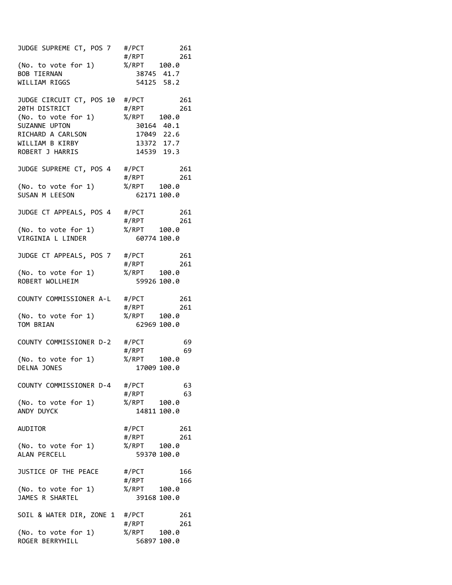| JUDGE SUPREME CT, POS 7                | #/PCT<br>261                   |
|----------------------------------------|--------------------------------|
|                                        | #/RPT<br>261                   |
| (No. to vote for 1)                    | %/RPT 100.0                    |
| <b>BOB TIERNAN</b>                     | 38745 41.7                     |
| WILLIAM RIGGS                          | 54125 58.2                     |
| JUDGE CIRCUIT CT, POS 10               | #/PCT<br>261                   |
| 20TH DISTRICT                          | #/RPT<br>261                   |
| (No. to vote for 1)                    | %/RPT 100.0                    |
| SUZANNE UPTON                          | 30164 40.1                     |
| RICHARD A CARLSON                      | 17049 22.6                     |
| WILLIAM B KIRBY                        | 13372 17.7                     |
| ROBERT J HARRIS                        | 14539 19.3                     |
| JUDGE SUPREME CT, POS 4                | #/PCT<br>261                   |
|                                        | #/RPT<br>261                   |
| (No. to vote for 1)                    | %/RPT<br>100.0                 |
| SUSAN M LEESON                         | 62171 100.0                    |
| JUDGE CT APPEALS, POS 4                | #/PCT<br>261                   |
|                                        | #/RPT<br>261                   |
| (No. to vote for 1)                    | %/RPT 100.0                    |
| VIRGINIA L LINDER                      | 60774 100.0                    |
|                                        |                                |
| JUDGE CT APPEALS, POS 7                | #/PCT<br>261                   |
|                                        | #/RPT<br>261<br>%/RPT<br>100.0 |
| (No. to vote for 1)<br>ROBERT WOLLHEIM | 59926 100.0                    |
|                                        |                                |
| COUNTY COMMISSIONER A-L                | #/PCT<br>261                   |
|                                        | #/RPT<br>261                   |
| (No. to vote for 1)                    | %/RPT 100.0                    |
| TOM BRIAN                              | 62969 100.0                    |
| COUNTY COMMISSIONER D-2                | #/PCT<br>69                    |
|                                        | #/RPT<br>69                    |
| (No. to vote for 1)                    | %/RPT 100.0                    |
| DELNA JONES                            | 17009 100.0                    |
| COUNTY COMMISSIONER D-4                | #/PCT<br>63                    |
|                                        | 63<br>#/RPT                    |
| (No. to vote for 1)                    | %/RPT<br>100.0                 |
| ANDY DUYCK                             | 14811 100.0                    |
|                                        |                                |
| <b>AUDITOR</b>                         | #/PCT<br>261<br>#/RPT<br>261   |
| (No. to vote for 1)                    | %/RPT<br>100.0                 |
| ALAN PERCELL                           | 59370 100.0                    |
|                                        |                                |
| JUSTICE OF THE PEACE                   | #/PCT<br>166<br>#/RPT<br>166   |
| (No. to vote for 1)                    | %/RPT<br>100.0                 |
| JAMES R SHARTEL                        | 39168 100.0                    |
|                                        |                                |
| SOIL & WATER DIR, ZONE 1 #/PCT         | 261                            |
| (No. to vote for 1)                    | 261<br>#/RPT<br>%/RPT<br>100.0 |
| ROGER BERRYHILL                        | 56897 100.0                    |
|                                        |                                |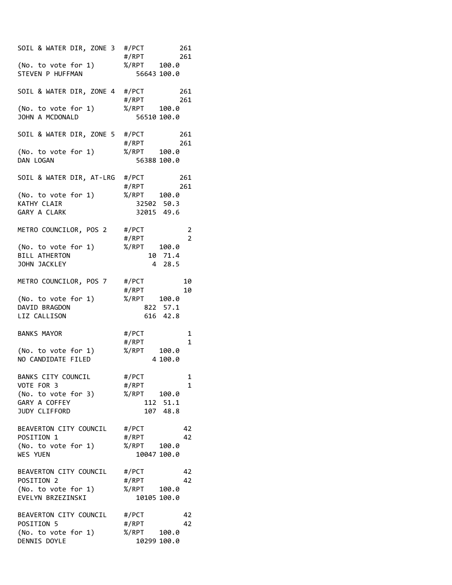| SOIL & WATER DIR, ZONE 3 #/PCT | 261<br>#/RPT<br>261        |
|--------------------------------|----------------------------|
| (No. to vote for 1)            | %/RPT 100.0                |
| STEVEN P HUFFMAN               |                            |
|                                | 56643 100.0                |
| SOIL & WATER DIR, ZONE 4 #/PCT | 261                        |
|                                | #/RPT<br>261               |
| (No. to vote for 1)            | %/RPT 100.0                |
| JOHN A MCDONALD                | 56510 100.0                |
| SOIL & WATER DIR, ZONE 5 #/PCT | 261                        |
|                                | #/RPT<br>261               |
| (No. to vote for 1)            | %/RPT 100.0                |
| DAN LOGAN                      | 56388 100.0                |
| SOIL & WATER DIR, AT-LRG #/PCT | 261                        |
|                                | #/RPT<br>261               |
| (No. to vote for 1)            | %/RPT 100.0                |
| KATHY CLAIR                    | 32502 50.3                 |
| GARY A CLARK                   | 32015 49.6                 |
| METRO COUNCILOR, POS 2         | #/PCT<br>2                 |
|                                | $\overline{2}$<br>#/RPT    |
| (No. to vote for 1)            | %/RPT<br>100.0             |
| <b>BILL ATHERTON</b>           | 10 71.4                    |
| JOHN JACKLEY                   | 28.5<br>4                  |
| METRO COUNCILOR, POS 7         | #/PCT<br>10                |
|                                | #/RPT<br>10                |
| (No. to vote for 1)            | %/RPT 100.0                |
| DAVID BRAGDON                  | 822 57.1                   |
| LIZ CALLISON                   | 616 42.8                   |
| <b>BANKS MAYOR</b>             | #/PCT                      |
|                                | 1<br>#/RPT<br>$\mathbf{1}$ |
| (No. to vote for 1)            | %/RPT                      |
| NO CANDIDATE FILED             | 100.0<br>4 100.0           |
|                                |                            |
| BANKS CITY COUNCIL             | #/PCT<br>1                 |
| VOTE FOR 3                     | #/RPT<br>1                 |
| (No. to vote for 3)            | %/RPT<br>100.0             |
| GARY A COFFEY                  | 112 51.1                   |
| JUDY CLIFFORD                  | 48.8<br>107                |
| BEAVERTON CITY COUNCIL         | #/PCT<br>42                |
| POSITION 1                     | 42<br>#/RPT                |
| (No. to vote for 1)            | %/RPT<br>100.0             |
| WES YUEN                       | 10047 100.0                |
| BEAVERTON CITY COUNCIL         | #/PCT<br>42                |
| POSITION 2                     | #/RPT<br>42                |
| (No. to vote for 1)            | %/RPT<br>100.0             |
| EVELYN BRZEZINSKI              | 10105 100.0                |
| BEAVERTON CITY COUNCIL         | #/PCT<br>42                |
| POSITION 5                     | 42<br>#/RPT                |
| (No. to vote for 1)            | %/RPT<br>100.0             |
| DENNIS DOYLE                   | 10299 100.0                |
|                                |                            |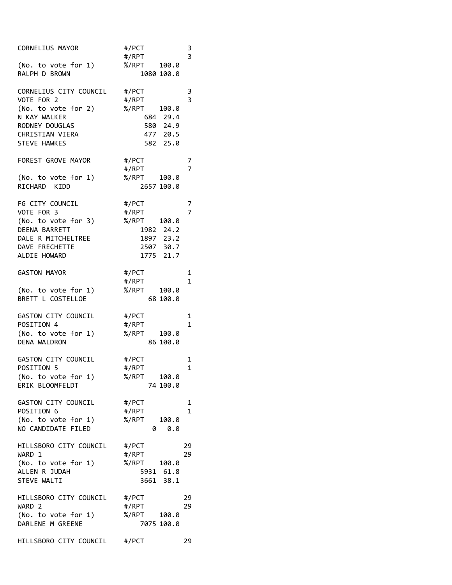| CORNELIUS MAYOR                        | #/PCT<br>#/RPT | $\frac{3}{3}$  |
|----------------------------------------|----------------|----------------|
| (No. to vote for 1)                    | %/RPT 100.0    |                |
| RALPH D BROWN                          | 1080 100.0     |                |
| CORNELIUS CITY COUNCIL                 | #/PCT          | 3              |
| VOTE FOR 2                             | #/RPT          | $\overline{3}$ |
| (No. to vote for 2)                    | %/RPT<br>100.0 |                |
| N KAY WALKER                           | 684 29.4       |                |
| RODNEY DOUGLAS                         | 580 24.9       |                |
| CHRISTIAN VIERA                        | 477 20.5       |                |
| STEVE HAWKES                           | 582 25.0       |                |
| FOREST GROVE MAYOR                     | #/PCT          | 7              |
|                                        | #/RPT          | 7              |
| (No. to vote for 1)                    | %/RPT<br>100.0 |                |
| RICHARD<br>KIDD                        | 2657 100.0     |                |
| FG CITY COUNCIL                        | #/PCT          | 7              |
| VOTE FOR 3                             | #/RPT          | 7              |
| (No. to vote for 3)                    | %/RPT 100.0    |                |
| DEENA BARRETT                          | 1982 24.2      |                |
| DALE R MITCHELTREE                     |                |                |
|                                        | 1897 23.2      |                |
| DAVE FRECHETTE                         | 2507 30.7      |                |
| ALDIE HOWARD                           | 1775 21.7      |                |
| <b>GASTON MAYOR</b>                    | #/PCT          | 1              |
|                                        | #/RPT          | $\mathbf{1}$   |
| (No. to vote for 1)                    | %/RPT<br>100.0 |                |
| BRETT L COSTELLOE                      | 68 100.0       |                |
|                                        |                |                |
| GASTON CITY COUNCIL                    | #/PCT          | 1              |
| POSITION 4                             | #/RPT          | $\mathbf{1}$   |
| (No. to vote for 1)                    | %/RPT<br>100.0 |                |
| DENA WALDRON                           | 86 100.0       |                |
| GASTON CITY COUNCIL                    | #/PCT          | 1              |
| POSITION 5                             | #/RPT          | 1              |
|                                        | %/RPT<br>100.0 |                |
| (No. to vote for 1)<br>ERIK BLOOMFELDT | 74 100.0       |                |
|                                        |                |                |
| GASTON CITY COUNCIL                    | #/PCT          | 1              |
| POSITION 6                             | #/RPT          | $\mathbf{1}$   |
| (No. to vote for 1)                    | %/RPT<br>100.0 |                |
| NO CANDIDATE FILED                     | 0.0<br>0       |                |
| HILLSBORO CITY COUNCIL                 | #/PCT          | 29             |
| WARD 1                                 | #/RPT          | 29             |
|                                        |                |                |
| (No. to vote for 1)                    | %/RPT<br>100.0 |                |
| ALLEN R JUDAH                          | 5931 61.8      |                |
| STEVE WALTI                            | 3661 38.1      |                |
| HILLSBORO CITY COUNCIL                 | #/PCT          | 29             |
| WARD <sub>2</sub>                      | #/RPT          | 29             |
| (No. to vote for 1)                    | %/RPT<br>100.0 |                |
| DARLENE M GREENE                       | 7075 100.0     |                |
| HILLSBORO CITY COUNCIL #/PCT           |                | 29             |
|                                        |                |                |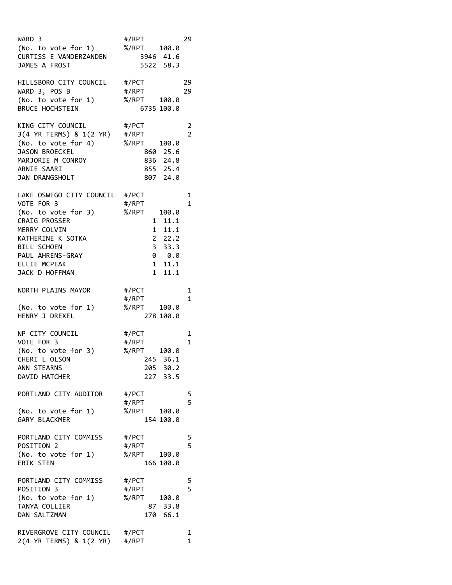| WARD 3<br>(No. to vote for 1)<br>CURTISS E VANDERZANDEN<br>JAMES A FROST                                                                                                                       | #/RPT<br>%/RPT 100.0<br>3946 41.6<br>5522 58.3                                                                                                                   | 29                  |
|------------------------------------------------------------------------------------------------------------------------------------------------------------------------------------------------|------------------------------------------------------------------------------------------------------------------------------------------------------------------|---------------------|
| HILLSBORO CITY COUNCIL<br>WARD 3, POS B<br>(No. to vote for 1)<br><b>BRUCE HOCHSTEIN</b>                                                                                                       | #/PCT<br>#/RPT<br>%/RPT 100.0<br>6735 100.0                                                                                                                      | 29<br>29            |
| KING CITY COUNCIL<br>3(4 YR TERMS) & 1(2 YR) #/RPT<br>(No. to vote for 4)<br><b>JASON BROECKEL</b><br>MARJORIE M CONROY<br>ARNIE SAARI<br>JAN DRANGSHOLT                                       | #/PCT<br>%/RPT<br>100.0<br>860 25.6<br>836 24.8<br>855 25.4<br>807 24.0                                                                                          | 2<br>$\overline{2}$ |
| LAKE OSWEGO CITY COUNCIL #/PCT<br>VOTE FOR 3<br>(No. to vote for 3)<br>CRAIG PROSSER<br>MERRY COLVIN<br>KATHERINE K SOTKA<br>BILL SCHOEN<br>PAUL AHRENS-GRAY<br>ELLIE MCPEAK<br>JACK D HOFFMAN | #/RPT<br>%/RPT<br>100.0<br>11.1<br>$\mathbf{1}$<br>11.1<br>1<br>22.2<br>$\overline{\mathbf{3}}$<br>33.3<br>0 0.0<br>11.1<br>$\mathbf{1}$<br>$\mathbf{1}$<br>11.1 | 1<br>$\mathbf{1}$   |
| NORTH PLAINS MAYOR<br>(No. to vote for 1)<br>HENRY J DREXEL                                                                                                                                    | #/PCT<br>#/RPT<br>%/RPT<br>100.0<br>278 100.0                                                                                                                    | 1<br>1              |
| NP CITY COUNCIL<br>VOTE FOR 3<br>(No. to vote for 3)<br>CHERI L OLSON<br>ANN STEARNS<br>DAVID HATCHER                                                                                          | #/PCT<br>#/RPT<br>%/RPT 100.0<br>245 36.1<br>205 30.2<br>227 33.5                                                                                                | 1<br>$\mathbf{1}$   |
| PORTLAND CITY AUDITOR<br>(No. to vote for 1)<br>GARY BLACKMER                                                                                                                                  | #/PCT<br>#/RPT<br>%/RPT<br>100.0<br>154 100.0                                                                                                                    | 5<br>5              |
| PORTLAND CITY COMMISS<br>POSITION 2<br>(No. to vote for 1)<br><b>ERIK STEN</b>                                                                                                                 | #/PCT<br>#/RPT<br>%/RPT<br>100.0<br>166 100.0                                                                                                                    | 5<br>5              |
| PORTLAND CITY COMMISS<br>POSITION 3<br>(No. to vote for 1)<br>TANYA COLLIER<br>DAN SALTZMAN                                                                                                    | #/PCT<br>#/RPT<br>%/RPT<br>100.0<br>87 33.8<br>170 66.1                                                                                                          | 5<br>5              |
| RIVERGROVE CITY COUNCIL #/PCT<br>2(4 YR TERMS) & 1(2 YR) #/RPT                                                                                                                                 |                                                                                                                                                                  | 1<br>1              |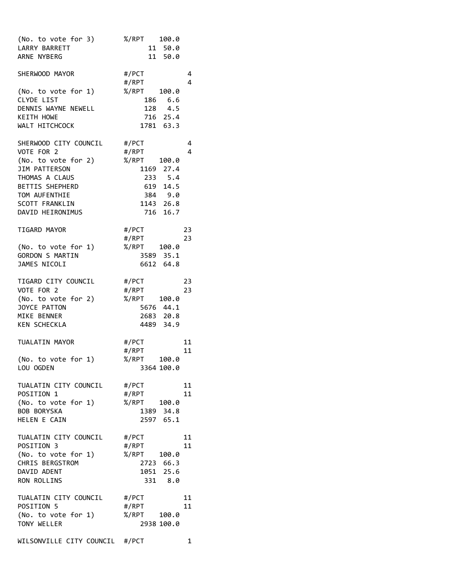| (No. to vote for 3)<br>LARRY BARRETT<br>ARNE NYBERG                                                                                                                            | %/RPT 100.0<br>11 50.0<br>11 50.0                                                                                  |
|--------------------------------------------------------------------------------------------------------------------------------------------------------------------------------|--------------------------------------------------------------------------------------------------------------------|
| SHERWOOD MAYOR<br>(No. to vote for 1)<br>CLYDE LIST<br>DENNIS WAYNE NEWELL<br><b>KEITH HOWE</b><br>WALT HITCHCOCK                                                              | #/PCT<br>4<br>4<br>#/RPT<br>%/RPT<br>100.0<br>186 6.6<br>128 4.5<br>716 25.4<br>1781 63.3                          |
| SHERWOOD CITY COUNCIL<br>VOTE FOR 2<br>(No. to vote for 2)<br>JIM PATTERSON<br>THOMAS A CLAUS<br>BETTIS SHEPHERD<br>TOM AUFENTHIE<br><b>SCOTT FRANKLIN</b><br>DAVID HEIRONIMUS | #/PCT<br>4<br>#/RPT<br>4<br>%/RPT<br>100.0<br>1169 27.4<br>233 5.4<br>619 14.5<br>384 9.0<br>1143 26.8<br>716 16.7 |
| TIGARD MAYOR<br>(No. to vote for 1)<br>GORDON S MARTIN<br>JAMES NICOLI                                                                                                         | #/PCT<br>23<br>23<br>#/RPT<br>%/RPT<br>100.0<br>3589<br>35.1<br>6612 64.8                                          |
| TIGARD CITY COUNCIL<br>VOTE FOR 2<br>(No. to vote for 2)<br>JOYCE PATTON<br>MIKE BENNER<br><b>KEN SCHECKLA</b>                                                                 | 23<br>#/PCT<br>#/RPT<br>23<br>%/RPT<br>100.0<br>5676 44.1<br>2683 20.8<br>4489 34.9                                |
| TUALATIN MAYOR<br>(No. to vote for 1)<br>LOU OGDEN                                                                                                                             | #/PCT<br>11<br>#/RPT<br>11<br>%/RPT<br>100.0<br>3364 100.0                                                         |
| TUALATIN CITY COUNCIL #/PCT<br>POSITION 1<br>(No. to vote for 1)<br><b>BOB BORYSKA</b><br>HELEN E CAIN                                                                         | 11<br>11<br>#/RPT<br>%/RPT<br>100.0<br>1389 34.8<br>2597 65.1                                                      |
| TUALATIN CITY COUNCIL<br>POSITION 3<br>(No. to vote for 1)<br>CHRIS BERGSTROM<br>DAVID ADENT<br>RON ROLLINS                                                                    | #/PCT<br>11<br>11<br>#/RPT<br>%/RPT<br>100.0<br>2723 66.3<br>1051 25.6<br>331 8.0                                  |
| TUALATIN CITY COUNCIL<br>POSITION 5<br>(No. to vote for 1)<br>TONY WELLER                                                                                                      | #/PCT<br>11<br>#/RPT<br>11<br>%/RPT<br>100.0<br>2938 100.0                                                         |
| WILSONVILLE CITY COUNCIL #/PCT                                                                                                                                                 | 1                                                                                                                  |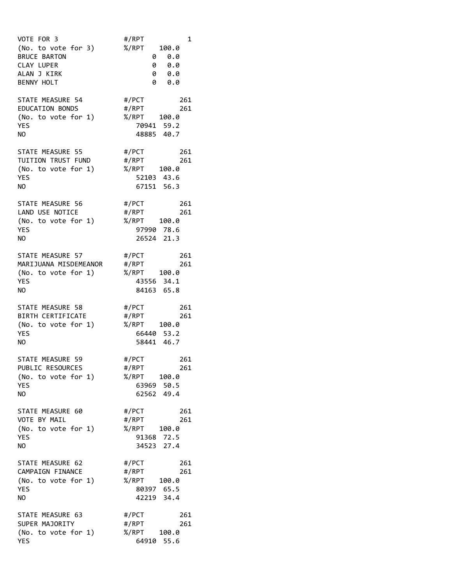| VOTE FOR 3<br>(No. to vote for 3)<br><b>BRUCE BARTON</b><br>CLAY LUPER<br>ALAN J KIRK<br><b>BENNY HOLT</b> | #/RPT<br>1<br>%/RPT<br>100.0<br>0.0<br>0<br>0 0.0<br>0.0<br>0<br>0<br>0.0            |
|------------------------------------------------------------------------------------------------------------|--------------------------------------------------------------------------------------|
| STATE MEASURE 54<br><b>EDUCATION BONDS</b><br>(No. to vote for 1)<br><b>YES</b><br>NΟ                      | #/PCT<br>261<br>#/RPT<br>261<br>$% /$ RPT<br>100.0<br>70941<br>59.2<br>40.7<br>48885 |
| STATE MEASURE 55<br>TUITION TRUST FUND<br>(No. to vote for 1)<br>YES<br>NΟ                                 | #/PCT<br>261<br>#/RPT<br>261<br>%/RPT<br>100.0<br>52103 43.6<br>67151 56.3           |
| STATE MEASURE 56<br>LAND USE NOTICE<br>(No. to vote for 1)<br><b>YES</b><br>ΝO                             | #/PCT<br>261<br>#/RPT<br>261<br>%/RPT<br>100.0<br>78.6<br>97990<br>26524 21.3        |
| STATE MEASURE 57<br>MARIJUANA MISDEMEANOR<br>(No. to vote for 1)<br>YES<br>NO                              | #/PCT<br>261<br>#/RPT<br>261<br>%/RPT<br>100.0<br>43556 34.1<br>84163 65.8           |
| STATE MEASURE 58<br>BIRTH CERTIFICATE<br>(No. to vote for 1)<br>YES<br>NΟ                                  | #/PCT<br>261<br>#/RPT<br>261<br>%/RPT 100.0<br>66440 53.2<br>58441 46.7              |
| STATE MEASURE 59<br>PUBLIC RESOURCES<br>(No. to vote for 1)<br><b>YES</b><br>ΝO                            | #/PCT<br>261<br>#/RPT<br>261<br>%/RPT<br>100.0<br>63969<br>50.5<br>62562 49.4        |
| STATE MEASURE 60<br>VOTE BY MAIL<br>(No. to vote for 1)<br><b>YES</b><br>ΝO                                | #/PCT<br>261<br>#/RPT<br>261<br>%/RPT<br>100.0<br>91368 72.5<br>34523<br>27.4        |
| STATE MEASURE 62<br>CAMPAIGN FINANCE<br>(No. to vote for 1)<br>YES<br>NO                                   | 261<br>#/PCT<br>261<br>#/RPT<br>%/RPT<br>100.0<br>80397 65.5<br>42219 34.4           |
| STATE MEASURE 63<br>SUPER MAJORITY<br>(No. to vote for 1)<br>YES                                           | #/PCT<br>261<br>#/RPT<br>261<br>%/RPT<br>100.0<br>64910 55.6                         |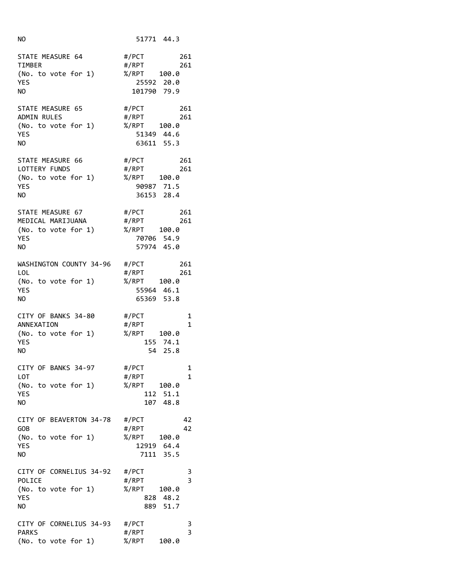| NΟ                                                                               | 51771 44.3                                                                                       |
|----------------------------------------------------------------------------------|--------------------------------------------------------------------------------------------------|
| STATE MEASURE 64<br><b>TIMBER</b><br>(No. to vote for 1)<br>YES<br>NO            | #/PCT<br>261<br>#/RPT<br>261<br>%/RPT<br>100.0<br>25592 20.0<br>101790 79.9                      |
| STATE MEASURE 65<br><b>ADMIN RULES</b><br>(No. to vote for 1)<br>YES<br>NΟ       | #/PCT<br>261<br>#/RPT<br>261<br>%/RPT 100.0<br>51349 44.6<br>63611 55.3                          |
| STATE MEASURE 66<br>LOTTERY FUNDS<br>(No. to vote for 1)<br><b>YES</b><br>NO.    | #/PCT<br>261<br>#/RPT<br>261<br>%/RPT<br>100.0<br>90987 71.5<br>36153 28.4                       |
| STATE MEASURE 67<br>MEDICAL MARIJUANA<br>(No. to vote for 1)<br>YES<br>ΝO        | #/PCT<br>261<br>261<br>#/RPT<br>%/RPT<br>100.0<br>70706 54.9<br>57974 45.0                       |
| WASHINGTON COUNTY 34-96<br><b>LOL</b><br>(No. to vote for 1)<br><b>YES</b><br>NΟ | #/PCT<br>261<br>#/RPT<br>261<br>%/RPT<br>100.0<br>55964 46.1<br>65369 53.8                       |
| CITY OF BANKS 34-80<br>ANNEXATION<br>(No. to vote for 1)<br>YES<br>NO            | #/PCT<br>1<br>#/RPT<br>1<br>%/RPT 100.0<br>155 74.1<br>54 25.8                                   |
| CITY OF BANKS 34-97<br>LOT<br>(No. to vote for 1)<br>YES<br>NO                   | #/PCT<br>1<br>#/RPT<br>1<br>%/RPT<br>100.0<br>51.1<br>112<br>48.8<br>107                         |
| CITY OF BEAVERTON 34-78<br>GOB<br>(No. to vote for 1)<br>YES<br>NO               | 42<br>#/PCT<br>42<br>#/RPT<br>%/RPT<br>100.0<br>12919<br>64.4<br>35.5<br>7111                    |
| CITY OF CORNELIUS 34-92<br>POLICE<br>(No. to vote for 1)<br>YES<br>ΝO            | #/PCT<br>3<br>$\overline{\mathbf{3}}$<br>#/RPT<br>%/RPT<br>100.0<br>828<br>48.2<br>51.7<br>889 - |
| CITY OF CORNELIUS 34-93<br><b>PARKS</b><br>(No. to vote for 1)                   | #/PCT<br>3<br>$\overline{\mathbf{3}}$<br>#/RPT<br>$% /$ RPT<br>100.0                             |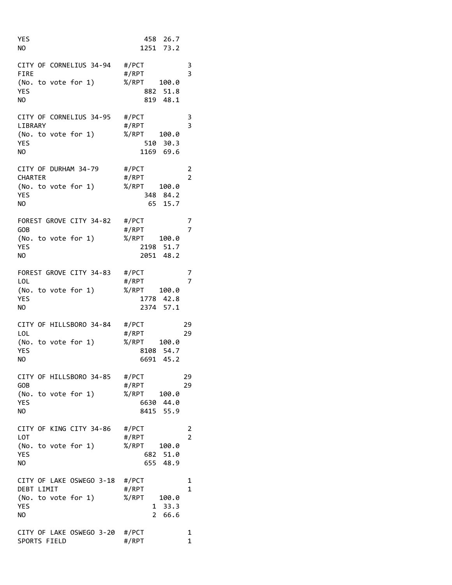| YES<br>NO                                                                  | 458 26.7<br>1251 73.2                                                                                       |
|----------------------------------------------------------------------------|-------------------------------------------------------------------------------------------------------------|
| CITY OF CORNELIUS 34-94 #/PCT<br>FIRE<br>(No. to vote for 1)<br>YES<br>ΝO  | 3<br>$\overline{\mathbf{3}}$<br>#/RPT<br>%/RPT<br>100.0<br>51.8<br>882<br>48.1<br>819                       |
| CITY OF CORNELIUS 34-95<br>LIBRARY<br>(No. to vote for 1)<br>YES<br>NO     | #/PCT<br>3<br>$\overline{3}$<br>#/RPT<br>%/RPT<br>100.0<br>30.3<br>510<br>1169 69.6                         |
| CITY OF DURHAM 34-79<br>CHARTER<br>(No. to vote for 1)<br>YES<br>NO        | #/PCT<br>2<br>$\overline{2}$<br>#/RPT<br>%/RPT<br>100.0<br>348 84.2<br>15.7<br>65 -                         |
| FOREST GROVE CITY 34-82 #/PCT<br>GOB<br>(No. to vote for 1)<br>YES<br>NO   | 7<br>7<br>#/RPT<br>%/RPT<br>100.0<br>2198<br>51.7<br>2051 48.2                                              |
| FOREST GROVE CITY 34-83<br>LOL<br>(No. to vote for 1)<br>YES<br>NO         | #/PCT<br>7<br>$\overline{7}$<br>#/RPT<br>%/RPT<br>100.0<br>1778 42.8<br>2374 57.1                           |
| CITY OF HILLSBORO 34-84<br>LOL<br>(No. to vote for 1)<br>YES<br>NO         | 29<br>#/PCT<br>#/RPT<br>29<br>%/RPT<br>100.0<br>8108 54.7<br>6691 45.2                                      |
| CITY OF HILLSBORO 34-85<br>GOB<br>(No. to vote for 1)<br>YES<br>NΟ         | #/PCT<br>29<br>#/RPT<br>29<br>%/RPT<br>100.0<br>44.0<br>6630<br>8415 55.9                                   |
| CITY OF KING CITY 34-86<br>LOT<br>(No. to vote for 1)<br>YES<br>NΟ         | #/PCT<br>$\overline{\mathbf{c}}$<br>$\overline{2}$<br>#/RPT<br>%/RPT<br>100.0<br>51.0<br>682<br>48.9<br>655 |
| CITY OF LAKE OSWEGO 3-18<br>DEBT LIMIT<br>(No. to vote for 1)<br>YES<br>NO | 1<br>#/PCT<br>1<br>#/RPT<br>%/RPT<br>100.0<br>33.3<br>$\mathbf{1}$<br>$\overline{2}$<br>66.6                |
| CITY OF LAKE OSWEGO 3-20<br>SPORTS FIELD                                   | #/PCT<br>1<br>#/RPT<br>1                                                                                    |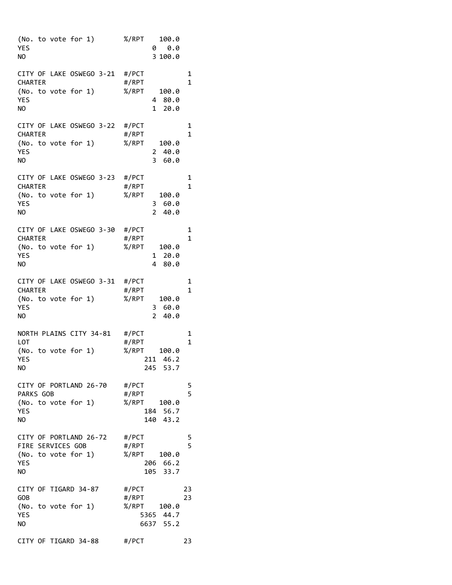| (No. to vote for 1)<br>YES<br>NΟ                                                      | % / RPT<br>0                                   | 100.0<br>0.0<br>3 100.0         |          |
|---------------------------------------------------------------------------------------|------------------------------------------------|---------------------------------|----------|
| CITY OF LAKE OSWEGO 3-21 #/PCT<br>CHARTER<br>(No. to vote for 1)<br>YES<br>NO         | #/RPT<br>%/RPT<br>4<br>1                       | 100.0<br>80.0<br>20.0           | 1<br>1   |
| CITY OF LAKE OSWEGO 3-22<br>CHARTER<br>(No. to vote for 1)<br>YES<br>NΟ               | #/PCT<br>#/RPT<br>%/RPT<br>2<br>3              | 100.0<br>40.0<br>60.0           | 1<br>1   |
| CITY OF LAKE OSWEGO 3-23 #/PCT<br>CHARTER<br>(No. to vote for 1)<br>YES<br>NΟ         | #/RPT<br>%/RPT<br>3<br>$\overline{2}$          | 100.0<br>60.0<br>40.0           | 1<br>1   |
| CITY OF LAKE OSWEGO 3-30 #/PCT<br>CHARTER<br>(No. to vote for 1)<br>YES<br>NO         | #/RPT<br>%/RPT<br>1<br>4                       | 100.0<br>20.0<br>80.0           | 1<br>1   |
| CITY OF LAKE OSWEGO 3-31<br>CHARTER<br>(No. to vote for 1)<br>YES<br>NΟ               | #/PCT<br>#/RPT<br>%/RPT<br>3<br>$\overline{2}$ | 100.0<br>60.0<br>40.0           | 1<br>1   |
| NORTH PLAINS CITY 34-81<br>LOT<br>(No. to vote for 1)<br>YES<br>NΟ                    | #/PCT<br>#/RPT<br>$%$ /RPT<br>211              | 100.0<br>46.2<br>245 53.7       | 1<br>1   |
| CITY OF PORTLAND 26-70 #/PCT<br>PARKS GOB<br>(No. to vote for 1)<br>YES<br>NO         | #/RPT<br>%/RPT                                 | 100.0<br>184 56.7<br>140 43.2   | 5<br>5   |
| CITY OF PORTLAND 26-72 #/PCT<br>FIRE SERVICES GOB<br>(No. to vote for 1)<br>YES<br>NO | #/RPT<br>%/RPT                                 | 100.0<br>206 66.2<br>105 33.7   | 5<br>5   |
| CITY OF TIGARD 34-87<br>GOB<br>(No. to vote for 1)<br>YES<br>NΟ                       | #/PCT<br>#/RPT<br>%/RPT                        | 100.0<br>5365 44.7<br>6637 55.2 | 23<br>23 |
| CITY OF TIGARD 34-88                                                                  | #/PCT                                          |                                 | 23       |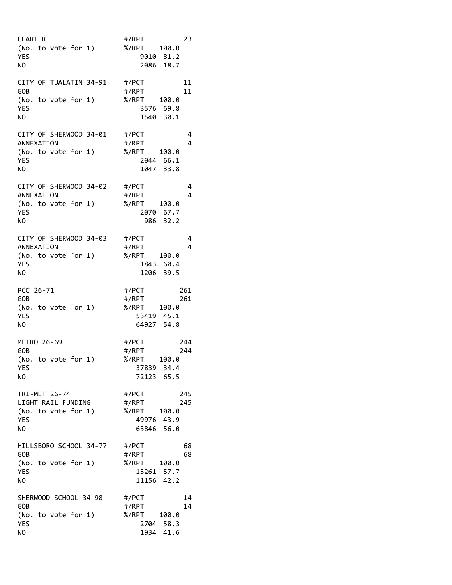| CHARTER<br>(No. to vote for 1)<br>YES<br>NO                                    | #/RPT<br>23<br>%/RPT 100.0<br>9010 81.2<br>2086 18.7                           |
|--------------------------------------------------------------------------------|--------------------------------------------------------------------------------|
| CITY OF TUALATIN 34-91 #/PCT<br>GOB<br>(No. to vote for 1)<br>YES<br>NO        | 11<br>#/RPT<br>11<br>%/RPT<br>100.0<br>3576 69.8<br>1540 30.1                  |
| CITY OF SHERWOOD 34-01<br>ANNEXATION<br>(No. to vote for 1)<br>YES<br>NO       | #/PCT<br>4<br>4<br>#/RPT<br>%/RPT<br>100.0<br>2044 66.1<br>1047<br>33.8        |
| CITY OF SHERWOOD 34-02<br>ANNEXATION<br>(No. to vote for 1)<br>YES<br>NΟ       | #/PCT<br>4<br>#/RPT<br>4<br>%/RPT<br>100.0<br>2070 67.7<br>986 32.2            |
| CITY OF SHERWOOD 34-03 #/PCT<br>ANNEXATION<br>(No. to vote for 1)<br>YES<br>NO | 4<br>#/RPT<br>4<br>%/RPT<br>100.0<br>1843 60.4<br>1206 39.5                    |
| PCC 26-71<br>GOB<br>(No. to vote for 1)<br>YES<br>NO                           | #/PCT<br>261<br>#/RPT<br>261<br>%/RPT<br>100.0<br>53419 45.1<br>64927 54.8     |
| METRO 26-69<br>GOB<br>(No. to vote for 1)<br>YES<br>NO                         | #/PCT<br>244<br>#/RPT<br>244<br>$% /$ RPT<br>100.0<br>37839 34.4<br>72123 65.5 |
| TRI-MET 26-74<br>LIGHT RAIL FUNDING<br>(No. to vote for 1)<br>YES<br>NO        | #/PCT<br>245<br>#/RPT<br>245<br>%/RPT<br>100.0<br>49976 43.9<br>63846 56.0     |
| HILLSBORO SCHOOL 34-77<br>GOB<br>(No. to vote for 1)<br>YES<br>NO              | #/PCT<br>68<br>#/RPT<br>68<br>%/RPT<br>100.0<br>15261 57.7<br>11156 42.2       |
| SHERWOOD SCHOOL 34-98<br>GOB<br>(No. to vote for 1)<br>YES<br>NO               | #/PCT<br>14<br>14<br>#/RPT<br>%/RPT<br>100.0<br>2704 58.3<br>41.6<br>1934      |